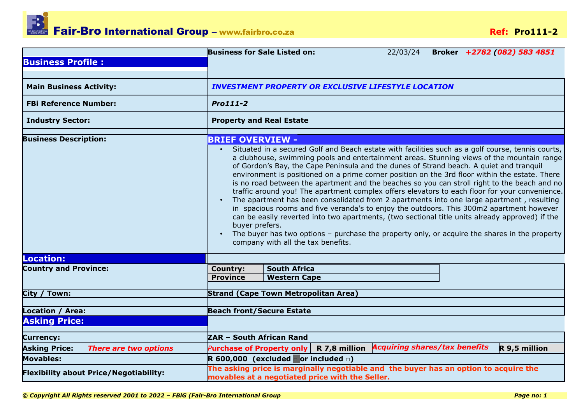

|                                               | <b>Business for Sale Listed on:</b><br>Broker +2782 (082) 583 4851<br>22/03/24                                                                                                                                                                                                                                                                                                                                                                                                                                                                                                                                                                                                                                                                                                                                                                                                                                                                |  |  |  |  |  |  |
|-----------------------------------------------|-----------------------------------------------------------------------------------------------------------------------------------------------------------------------------------------------------------------------------------------------------------------------------------------------------------------------------------------------------------------------------------------------------------------------------------------------------------------------------------------------------------------------------------------------------------------------------------------------------------------------------------------------------------------------------------------------------------------------------------------------------------------------------------------------------------------------------------------------------------------------------------------------------------------------------------------------|--|--|--|--|--|--|
| <b>Business Profile:</b>                      |                                                                                                                                                                                                                                                                                                                                                                                                                                                                                                                                                                                                                                                                                                                                                                                                                                                                                                                                               |  |  |  |  |  |  |
|                                               |                                                                                                                                                                                                                                                                                                                                                                                                                                                                                                                                                                                                                                                                                                                                                                                                                                                                                                                                               |  |  |  |  |  |  |
| <b>Main Business Activity:</b>                | <b>INVESTMENT PROPERTY OR EXCLUSIVE LIFESTYLE LOCATION</b>                                                                                                                                                                                                                                                                                                                                                                                                                                                                                                                                                                                                                                                                                                                                                                                                                                                                                    |  |  |  |  |  |  |
| <b>FBi Reference Number:</b>                  | Pro111-2                                                                                                                                                                                                                                                                                                                                                                                                                                                                                                                                                                                                                                                                                                                                                                                                                                                                                                                                      |  |  |  |  |  |  |
| <b>Industry Sector:</b>                       | <b>Property and Real Estate</b>                                                                                                                                                                                                                                                                                                                                                                                                                                                                                                                                                                                                                                                                                                                                                                                                                                                                                                               |  |  |  |  |  |  |
| <b>Business Description:</b>                  | <b>BRIEF OVERVIEW -</b>                                                                                                                                                                                                                                                                                                                                                                                                                                                                                                                                                                                                                                                                                                                                                                                                                                                                                                                       |  |  |  |  |  |  |
|                                               | a clubhouse, swimming pools and entertainment areas. Stunning views of the mountain range<br>of Gordon's Bay, the Cape Peninsula and the dunes of Strand beach. A quiet and tranquil<br>environment is positioned on a prime corner position on the 3rd floor within the estate. There<br>is no road between the apartment and the beaches so you can stroll right to the beach and no<br>traffic around you! The apartment complex offers elevators to each floor for your convenience.<br>The apartment has been consolidated from 2 apartments into one large apartment, resulting<br>in spacious rooms and five veranda's to enjoy the outdoors. This 300m2 apartment however<br>can be easily reverted into two apartments, (two sectional title units already approved) if the<br>buyer prefers.<br>The buyer has two options - purchase the property only, or acquire the shares in the property<br>company with all the tax benefits. |  |  |  |  |  |  |
| <b>Location:</b>                              |                                                                                                                                                                                                                                                                                                                                                                                                                                                                                                                                                                                                                                                                                                                                                                                                                                                                                                                                               |  |  |  |  |  |  |
| <b>Country and Province:</b>                  | <b>South Africa</b><br><b>Country:</b><br><b>Province</b><br><b>Western Cape</b>                                                                                                                                                                                                                                                                                                                                                                                                                                                                                                                                                                                                                                                                                                                                                                                                                                                              |  |  |  |  |  |  |
| City / Town:                                  | <b>Strand (Cape Town Metropolitan Area)</b>                                                                                                                                                                                                                                                                                                                                                                                                                                                                                                                                                                                                                                                                                                                                                                                                                                                                                                   |  |  |  |  |  |  |
| Location / Area:                              | <b>Beach front/Secure Estate</b>                                                                                                                                                                                                                                                                                                                                                                                                                                                                                                                                                                                                                                                                                                                                                                                                                                                                                                              |  |  |  |  |  |  |
| <b>Asking Price:</b>                          |                                                                                                                                                                                                                                                                                                                                                                                                                                                                                                                                                                                                                                                                                                                                                                                                                                                                                                                                               |  |  |  |  |  |  |
| <b>Currency:</b>                              | ZAR - South African Rand                                                                                                                                                                                                                                                                                                                                                                                                                                                                                                                                                                                                                                                                                                                                                                                                                                                                                                                      |  |  |  |  |  |  |
| <b>Asking Price:</b><br>There are two options | R 7,8 million Acquiring shares/tax benefits<br>R 9,5 million<br><b>Purchase of Property only</b>                                                                                                                                                                                                                                                                                                                                                                                                                                                                                                                                                                                                                                                                                                                                                                                                                                              |  |  |  |  |  |  |
| <b>Movables:</b>                              | R 600,000 (excluded or included $\Box$ )                                                                                                                                                                                                                                                                                                                                                                                                                                                                                                                                                                                                                                                                                                                                                                                                                                                                                                      |  |  |  |  |  |  |
| <b>Flexibility about Price/Negotiability:</b> | The asking price is marginally negotiable and the buyer has an option to acquire the<br>movables at a negotiated price with the Seller.                                                                                                                                                                                                                                                                                                                                                                                                                                                                                                                                                                                                                                                                                                                                                                                                       |  |  |  |  |  |  |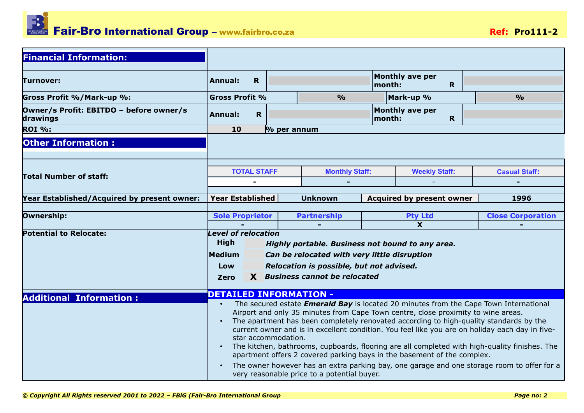

| <b>Financial Information:</b>                       |                                                                                                                                                                                                                                                                                                                                                                                                                                                                                                                                                                                                                                                                                                                                                                       |             |             |                                                                                                                                                                                |        |                                        |  |                          |
|-----------------------------------------------------|-----------------------------------------------------------------------------------------------------------------------------------------------------------------------------------------------------------------------------------------------------------------------------------------------------------------------------------------------------------------------------------------------------------------------------------------------------------------------------------------------------------------------------------------------------------------------------------------------------------------------------------------------------------------------------------------------------------------------------------------------------------------------|-------------|-------------|--------------------------------------------------------------------------------------------------------------------------------------------------------------------------------|--------|----------------------------------------|--|--------------------------|
| <b>Turnover:</b>                                    | Annual:                                                                                                                                                                                                                                                                                                                                                                                                                                                                                                                                                                                                                                                                                                                                                               | $\mathbf R$ |             |                                                                                                                                                                                | month: | <b>Monthly ave per</b><br>$\mathbf{R}$ |  |                          |
| Gross Profit %/Mark-up %:                           | <b>Gross Profit %</b>                                                                                                                                                                                                                                                                                                                                                                                                                                                                                                                                                                                                                                                                                                                                                 |             |             | $\frac{0}{0}$                                                                                                                                                                  |        | Mark-up %                              |  | $\frac{0}{0}$            |
| Owner/s Profit: EBITDO - before owner/s<br>drawings | Annual:                                                                                                                                                                                                                                                                                                                                                                                                                                                                                                                                                                                                                                                                                                                                                               | $\mathbf R$ |             |                                                                                                                                                                                | month: | <b>Monthly ave per</b><br>$\mathbf R$  |  |                          |
| <b>ROI %:</b>                                       | 10                                                                                                                                                                                                                                                                                                                                                                                                                                                                                                                                                                                                                                                                                                                                                                    |             | % per annum |                                                                                                                                                                                |        |                                        |  |                          |
| <b>Other Information:</b>                           |                                                                                                                                                                                                                                                                                                                                                                                                                                                                                                                                                                                                                                                                                                                                                                       |             |             |                                                                                                                                                                                |        |                                        |  |                          |
| <b>Total Number of staff:</b>                       | <b>TOTAL STAFF</b>                                                                                                                                                                                                                                                                                                                                                                                                                                                                                                                                                                                                                                                                                                                                                    | ۰           |             | <b>Monthly Staff:</b>                                                                                                                                                          |        | <b>Weekly Staff:</b>                   |  | <b>Casual Staff:</b>     |
| Year Established/Acquired by present owner:         | <b>Year Established</b>                                                                                                                                                                                                                                                                                                                                                                                                                                                                                                                                                                                                                                                                                                                                               |             |             | <b>Unknown</b>                                                                                                                                                                 |        | <b>Acquired by present owner</b>       |  | 1996                     |
| Ownership:                                          | <b>Sole Proprietor</b>                                                                                                                                                                                                                                                                                                                                                                                                                                                                                                                                                                                                                                                                                                                                                |             |             | <b>Partnership</b>                                                                                                                                                             |        | <b>Pty Ltd</b>                         |  | <b>Close Corporation</b> |
|                                                     |                                                                                                                                                                                                                                                                                                                                                                                                                                                                                                                                                                                                                                                                                                                                                                       |             |             |                                                                                                                                                                                |        | $\overline{\mathbf{X}}$                |  |                          |
| <b>Potential to Relocate:</b>                       | <b>Level of relocation</b><br><b>High</b><br>Medium<br>Low<br><b>Zero</b>                                                                                                                                                                                                                                                                                                                                                                                                                                                                                                                                                                                                                                                                                             |             |             | Highly portable. Business not bound to any area.<br>Can be relocated with very little disruption<br>Relocation is possible, but not advised.<br>X Business cannot be relocated |        |                                        |  |                          |
| <b>Additional Information:</b>                      | <b>DETAILED INFORMATION -</b>                                                                                                                                                                                                                                                                                                                                                                                                                                                                                                                                                                                                                                                                                                                                         |             |             |                                                                                                                                                                                |        |                                        |  |                          |
|                                                     | The secured estate <i>Emerald Bay</i> is located 20 minutes from the Cape Town International<br>Airport and only 35 minutes from Cape Town centre, close proximity to wine areas.<br>The apartment has been completely renovated according to high-quality standards by the<br>$\bullet$<br>current owner and is in excellent condition. You feel like you are on holiday each day in five-<br>star accommodation.<br>The kitchen, bathrooms, cupboards, flooring are all completed with high-quality finishes. The<br>$\bullet$<br>apartment offers 2 covered parking bays in the basement of the complex.<br>The owner however has an extra parking bay, one garage and one storage room to offer for a<br>$\bullet$<br>very reasonable price to a potential buyer. |             |             |                                                                                                                                                                                |        |                                        |  |                          |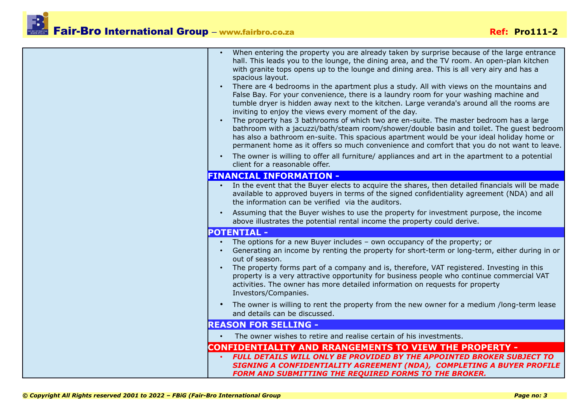## Fair-Bro International Group – www.fairbro.co.za **Brown Communication** Ref: Pro111-2

| When entering the property you are already taken by surprise because of the large entrance<br>hall. This leads you to the lounge, the dining area, and the TV room. An open-plan kitchen<br>with granite tops opens up to the lounge and dining area. This is all very airy and has a<br>spacious layout.<br>There are 4 bedrooms in the apartment plus a study. All with views on the mountains and<br>$\bullet$<br>False Bay. For your convenience, there is a laundry room for your washing machine and<br>tumble dryer is hidden away next to the kitchen. Large veranda's around all the rooms are<br>inviting to enjoy the views every moment of the day.<br>The property has 3 bathrooms of which two are en-suite. The master bedroom has a large<br>bathroom with a jacuzzi/bath/steam room/shower/double basin and toilet. The quest bedroom<br>has also a bathroom en-suite. This spacious apartment would be your ideal holiday home or<br>permanent home as it offers so much convenience and comfort that you do not want to leave.<br>The owner is willing to offer all furniture/ appliances and art in the apartment to a potential<br>client for a reasonable offer.<br><b>FINANCIAL INFORMATION -</b><br>In the event that the Buyer elects to acquire the shares, then detailed financials will be made<br>$\bullet$ |
|------------------------------------------------------------------------------------------------------------------------------------------------------------------------------------------------------------------------------------------------------------------------------------------------------------------------------------------------------------------------------------------------------------------------------------------------------------------------------------------------------------------------------------------------------------------------------------------------------------------------------------------------------------------------------------------------------------------------------------------------------------------------------------------------------------------------------------------------------------------------------------------------------------------------------------------------------------------------------------------------------------------------------------------------------------------------------------------------------------------------------------------------------------------------------------------------------------------------------------------------------------------------------------------------------------------------------------------|
| available to approved buyers in terms of the signed confidentiality agreement (NDA) and all<br>the information can be verified via the auditors.                                                                                                                                                                                                                                                                                                                                                                                                                                                                                                                                                                                                                                                                                                                                                                                                                                                                                                                                                                                                                                                                                                                                                                                         |
| Assuming that the Buyer wishes to use the property for investment purpose, the income<br>$\bullet$<br>above illustrates the potential rental income the property could derive.                                                                                                                                                                                                                                                                                                                                                                                                                                                                                                                                                                                                                                                                                                                                                                                                                                                                                                                                                                                                                                                                                                                                                           |
| <b>POTENTIAL -</b>                                                                                                                                                                                                                                                                                                                                                                                                                                                                                                                                                                                                                                                                                                                                                                                                                                                                                                                                                                                                                                                                                                                                                                                                                                                                                                                       |
| The options for a new Buyer includes - own occupancy of the property; or<br>Generating an income by renting the property for short-term or long-term, either during in or<br>out of season.<br>The property forms part of a company and is, therefore, VAT registered. Investing in this                                                                                                                                                                                                                                                                                                                                                                                                                                                                                                                                                                                                                                                                                                                                                                                                                                                                                                                                                                                                                                                 |
| property is a very attractive opportunity for business people who continue commercial VAT<br>activities. The owner has more detailed information on requests for property<br>Investors/Companies.                                                                                                                                                                                                                                                                                                                                                                                                                                                                                                                                                                                                                                                                                                                                                                                                                                                                                                                                                                                                                                                                                                                                        |
| The owner is willing to rent the property from the new owner for a medium /long-term lease<br>$\bullet$<br>and details can be discussed.                                                                                                                                                                                                                                                                                                                                                                                                                                                                                                                                                                                                                                                                                                                                                                                                                                                                                                                                                                                                                                                                                                                                                                                                 |
| <b>REASON FOR SELLING -</b>                                                                                                                                                                                                                                                                                                                                                                                                                                                                                                                                                                                                                                                                                                                                                                                                                                                                                                                                                                                                                                                                                                                                                                                                                                                                                                              |
| The owner wishes to retire and realise certain of his investments.                                                                                                                                                                                                                                                                                                                                                                                                                                                                                                                                                                                                                                                                                                                                                                                                                                                                                                                                                                                                                                                                                                                                                                                                                                                                       |
| CONFIDENTIALITY AND RRANGEMENTS TO VIEW THE PROPERTY -                                                                                                                                                                                                                                                                                                                                                                                                                                                                                                                                                                                                                                                                                                                                                                                                                                                                                                                                                                                                                                                                                                                                                                                                                                                                                   |
| <b>FULL DETAILS WILL ONLY BE PROVIDED BY THE APPOINTED BROKER SUBJECT TO</b><br>SIGNING A CONFIDENTIALITY AGREEMENT (NDA), COMPLETING A BUYER PROFILE<br>FORM AND SUBMITTING THE REQUIRED FORMS TO THE BROKER.                                                                                                                                                                                                                                                                                                                                                                                                                                                                                                                                                                                                                                                                                                                                                                                                                                                                                                                                                                                                                                                                                                                           |